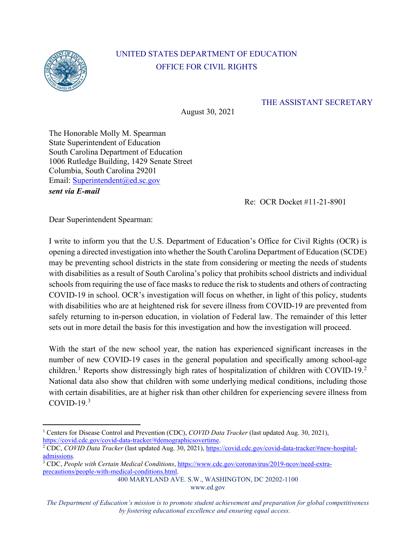

## UNITED STATES DEPARTMENT OF EDUCATION OFFICE FOR CIVIL RIGHTS

## THE ASSISTANT SECRETARY

August 30, 2021

The Honorable Molly M. Spearman State Superintendent of Education South Carolina Department of Education 1006 Rutledge Building, 1429 Senate Street Columbia, South Carolina 29201 Email: [Superintendent@ed.sc.gov](mailto:Superintendent@ed.sc.gov)  *sent via E-mail* 

Re: OCR Docket #11-21-8901

Dear Superintendent Spearman:

I write to inform you that the U.S. Department of Education's Office for Civil Rights (OCR) is opening a directed investigation into whether the South Carolina Department of Education (SCDE) may be preventing school districts in the state from considering or meeting the needs of students with disabilities as a result of South Carolina's policy that prohibits school districts and individual schools from requiring the use of face masks to reduce the risk to students and others of contracting COVID-19 in school. OCR's investigation will focus on whether, in light of this policy, students with disabilities who are at heightened risk for severe illness from COVID-19 are prevented from safely returning to in-person education, in violation of Federal law. The remainder of this letter sets out in more detail the basis for this investigation and how the investigation will proceed.

With the start of the new school year, the nation has experienced significant increases in the number of new COVID-19 cases in the general population and specifically among school-age children.<sup>[1](#page-0-0)</sup> Reports show distressingly high rates of hospitalization of children with COVID-19.<sup>[2](#page-0-1)</sup> National data also show that children with some underlying medical conditions, including those with certain disabilities, are at higher risk than other children for experiencing severe illness from COVID-19 $3$ 

400 MARYLAND AVE. S.W., WASHINGTON, DC 20202-1100

<span id="page-0-0"></span><sup>1</sup> Centers for Disease Control and Prevention (CDC), *COVID Data Tracker* (last updated Aug. 30, 2021), [https://covid.cdc.gov/covid-data-tracker/#demographicsovertime.](https://covid.cdc.gov/covid-data-tracker/#demographicsovertime) 2 CDC, *COVID Data Tracker* (last updated Aug. 30, 2021)[, https://covid.cdc.gov/covid-data-tracker/#new-hospital-](https://covid.cdc.gov/covid-data-tracker/#new-hospital-admissions)

<span id="page-0-1"></span>admissions.<br><sup>3</sup> CDC, *People with Certain Medical Conditions*[, https://www.cdc.gov/coronavirus/2019-ncov/need-extra-](https://www.cdc.gov/coronavirus/2019-ncov/need-extra-precautions/people-with-medical-conditions.html#children-underlying-conditions)

<span id="page-0-2"></span>[precautions/people-with-medical-conditions.html.](https://www.cdc.gov/coronavirus/2019-ncov/need-extra-precautions/people-with-medical-conditions.html#children-underlying-conditions)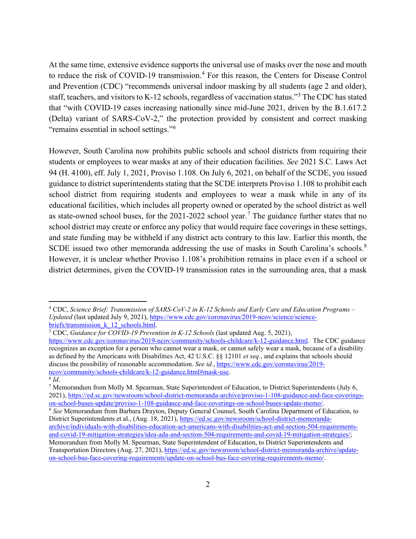At the same time, extensive evidence supports the universal use of masks over the nose and mouth to reduce the risk of COVID-19 transmission.<sup>[4](#page-1-0)</sup> For this reason, the Centers for Disease Control and Prevention (CDC) "recommends universal indoor masking by all students (age 2 and older), staff, teachers, and visitors to K-12 schools, regardless of vaccination status."[5](#page-1-1) The CDC has stated that "with COVID-19 cases increasing nationally since mid-June 2021, driven by the B.1.617.2 (Delta) variant of SARS-CoV-2," the protection provided by consistent and correct masking "remains essential in school settings."[6](#page-1-2)

However, South Carolina now prohibits public schools and school districts from requiring their students or employees to wear masks at any of their education facilities. *See* 2021 S.C. Laws Act 94 (H. 4100), eff. July 1, 2021, Proviso 1.108. On July 6, 2021, on behalf of the SCDE, you issued guidance to district superintendents stating that the SCDE interprets Proviso 1.108 to prohibit each school district from requiring students and employees to wear a mask while in any of its educational facilities, which includes all property owned or operated by the school district as well as state-owned school buses, for the  $2021-2022$  school year.<sup>[7](#page-1-3)</sup> The guidance further states that no school district may create or enforce any policy that would require face coverings in these settings, and state funding may be withheld if any district acts contrary to this law. Earlier this month, the SCDE issued two other memoranda addressing the use of masks in South Carolina's schools.<sup>[8](#page-1-4)</sup> However, it is unclear whether Proviso 1.108's prohibition remains in place even if a school or district determines, given the COVID-19 transmission rates in the surrounding area, that a mask

<span id="page-1-0"></span><sup>4</sup> CDC, *Science Brief: Transmission of SARS-CoV-2 in K-12 Schools and Early Care and Education Programs – Updated* (last updated July 9, 2021), [https://www.cdc.gov/coronavirus/2019-ncov/science/science](https://www.cdc.gov/coronavirus/2019-ncov/science/science-briefs/transmission_k_12_schools.html)[briefs/transmission\\_k\\_12\\_schools.html.](https://www.cdc.gov/coronavirus/2019-ncov/science/science-briefs/transmission_k_12_schools.html) 5 CDC, *Guidance for COVID-19 Prevention in K-12 Schools* (last updated Aug. 5, 2021),

<span id="page-1-1"></span>[https://www.cdc.gov/coronavirus/2019-ncov/community/schools-childcare/k-12-guidance.html.](https://www.cdc.gov/coronavirus/2019-ncov/community/schools-childcare/k-12-guidance.html) The CDC guidance recognizes an exception for a person who cannot wear a mask, or cannot safely wear a mask, because of a disability as defined by the Americans with Disabilities Act, 42 U.S.C. §§ 12101 *et seq.*, and explains that schools should discuss the possibility of reasonable accommodation. *See id.*, [https://www.cdc.gov/coronavirus/2019](https://www.cdc.gov/coronavirus/2019-ncov/community/schools-childcare/k-12-guidance.html#mask-use) [ncov/community/schools-childcare/k-12-guidance.html#mask-use.](https://www.cdc.gov/coronavirus/2019-ncov/community/schools-childcare/k-12-guidance.html#mask-use)

<span id="page-1-2"></span> $6$  *Id.* 

<span id="page-1-3"></span><sup>7</sup> Memorandum from Molly M. Spearman, State Superintendent of Education, to District Superintendents (July 6, 2021), https://ed.sc.gov/newsroom/school-district-memoranda-archive/proviso-1-108-guidance-and-face-coverings-<br>on-school-buses-update/proviso-1-108-guidance-and-face-coverings-on-school-buses-update-memo/.

<span id="page-1-4"></span><sup>&</sup>lt;sup>8</sup> See Memorandum from Barbara Drayton, Deputy General Counsel, South Carolina Department of Education, to District Superintendents et al., (Aug. 18, 2021)[, https://ed.sc.gov/newsroom/school-district-memoranda](https://ed.sc.gov/newsroom/school-district-memoranda-archive/individuals-with-disabilities-education-act-americans-with-disabilities-act-and-section-504-requirements-and-covid-19-mitigation-strategies/idea-ada-and-section-504-requirements-and-covid-19-mitigation-strategies/)[archive/individuals-with-disabilities-education-act-americans-with-disabilities-act-and-section-504-requirements](https://ed.sc.gov/newsroom/school-district-memoranda-archive/individuals-with-disabilities-education-act-americans-with-disabilities-act-and-section-504-requirements-and-covid-19-mitigation-strategies/idea-ada-and-section-504-requirements-and-covid-19-mitigation-strategies/)[and-covid-19-mitigation-strategies/idea-ada-and-section-504-requirements-and-covid-19-mitigation-strategies/;](https://ed.sc.gov/newsroom/school-district-memoranda-archive/individuals-with-disabilities-education-act-americans-with-disabilities-act-and-section-504-requirements-and-covid-19-mitigation-strategies/idea-ada-and-section-504-requirements-and-covid-19-mitigation-strategies/) Memorandum from Molly M. Spearman, State Superintendent of Education, to District Superintendents and Transportation Directors (Aug. 27, 2021), [https://ed.sc.gov/newsroom/school-district-memoranda-archive/update](https://ed.sc.gov/newsroom/school-district-memoranda-archive/update-on-school-bus-face-covering-requirements/update-on-school-bus-face-covering-requirements-memo/)[on-school-bus-face-covering-requirements/update-on-school-bus-face-covering-requirements-memo/.](https://ed.sc.gov/newsroom/school-district-memoranda-archive/update-on-school-bus-face-covering-requirements/update-on-school-bus-face-covering-requirements-memo/)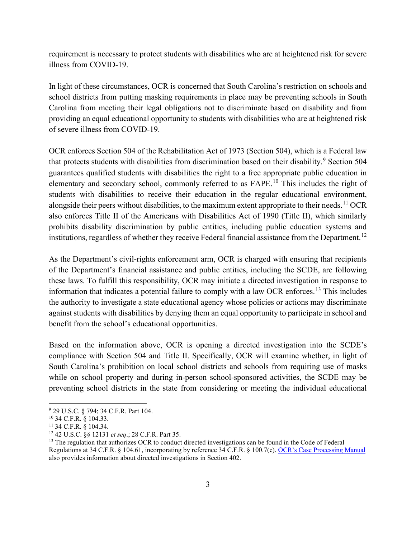requirement is necessary to protect students with disabilities who are at heightened risk for severe illness from COVID-19.

In light of these circumstances, OCR is concerned that South Carolina's restriction on schools and school districts from putting masking requirements in place may be preventing schools in South Carolina from meeting their legal obligations not to discriminate based on disability and from providing an equal educational opportunity to students with disabilities who are at heightened risk of severe illness from COVID-19.

OCR enforces Section 504 of the Rehabilitation Act of 1973 (Section 504), which is a Federal law that protects students with disabilities from discrimination based on their disability.<sup>[9](#page-2-0)</sup> Section 504 guarantees qualified students with disabilities the right to a free appropriate public education in elementary and secondary school, commonly referred to as FAPE.<sup>[10](#page-2-1)</sup> This includes the right of students with disabilities to receive their education in the regular educational environment, alongside their peers without disabilities, to the maximum extent appropriate to their needs.<sup>[11](#page-2-2)</sup> OCR also enforces Title II of the Americans with Disabilities Act of 1990 (Title II), which similarly prohibits disability discrimination by public entities, including public education systems and institutions, regardless of whether they receive Federal financial assistance from the Department.<sup>[12](#page-2-3)</sup>

As the Department's civil-rights enforcement arm, OCR is charged with ensuring that recipients of the Department's financial assistance and public entities, including the SCDE, are following these laws. To fulfill this responsibility, OCR may initiate a directed investigation in response to information that indicates a potential failure to comply with a law OCR enforces.[13](#page-2-4) This includes the authority to investigate a state educational agency whose policies or actions may discriminate against students with disabilities by denying them an equal opportunity to participate in school and benefit from the school's educational opportunities.

Based on the information above, OCR is opening a directed investigation into the SCDE's compliance with Section 504 and Title II. Specifically, OCR will examine whether, in light of South Carolina's prohibition on local school districts and schools from requiring use of masks while on school property and during in-person school-sponsored activities, the SCDE may be preventing school districts in the state from considering or meeting the individual educational

<span id="page-2-0"></span><sup>9</sup> 29 U.S.C. § 794; 34 C.F.R. Part 104.

<span id="page-2-2"></span><span id="page-2-1"></span><sup>10</sup> 34 C.F.R. § 104.33.

<sup>&</sup>lt;sup>11</sup> 34 C.F.R. § 104.34.<br><sup>12</sup> 42 U.S.C. §§ 12131 *et seq.*; 28 C.F.R. Part 35.

<span id="page-2-4"></span><span id="page-2-3"></span><sup>&</sup>lt;sup>13</sup> The regulation that authorizes OCR to conduct directed investigations can be found in the Code of Federal Regulations at 34 C.F.R. § 104.61, incorporating by reference 34 C.F.R. § 100.7(c). [OCR's Case Processing Manual](https://www2.ed.gov/about/offices/list/ocr/docs/ocrcpm.pdf) also provides information about directed investigations in Section 402.